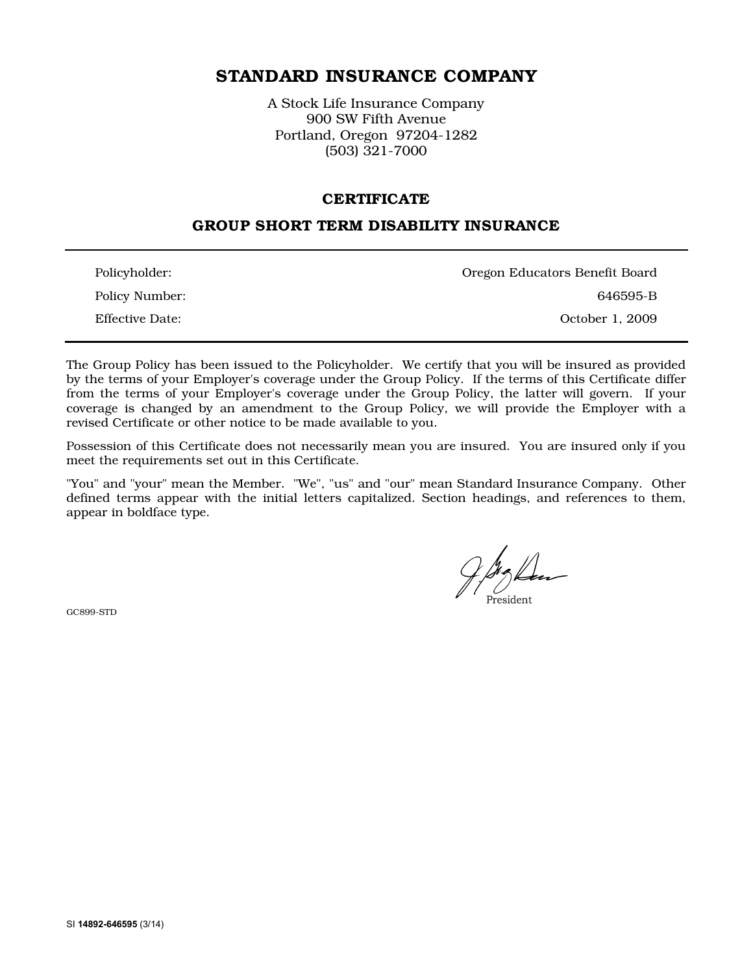# STANDARD INSURANCE COMPANY

A Stock Life Insurance Company 900 SW Fifth Avenue Portland, Oregon 97204-1282 (503) 321-7000

#### **CERTIFICATE**

# GROUP SHORT TERM DISABILITY INSURANCE

| Policyholder:   | Oregon Educators Benefit Board |
|-----------------|--------------------------------|
| Policy Number:  | 646595-B                       |
| Effective Date: | October 1, 2009                |

The Group Policy has been issued to the Policyholder. We certify that you will be insured as provided by the terms of your Employer's coverage under the Group Policy. If the terms of this Certificate differ from the terms of your Employer's coverage under the Group Policy, the latter will govern. If your coverage is changed by an amendment to the Group Policy, we will provide the Employer with a revised Certificate or other notice to be made available to you.

Possession of this Certificate does not necessarily mean you are insured. You are insured only if you meet the requirements set out in this Certificate.

"You" and "your" mean the Member. "We", "us" and "our" mean Standard Insurance Company. Other defined terms appear with the initial letters capitalized. Section headings, and references to them, appear in boldface type.

GC899-STD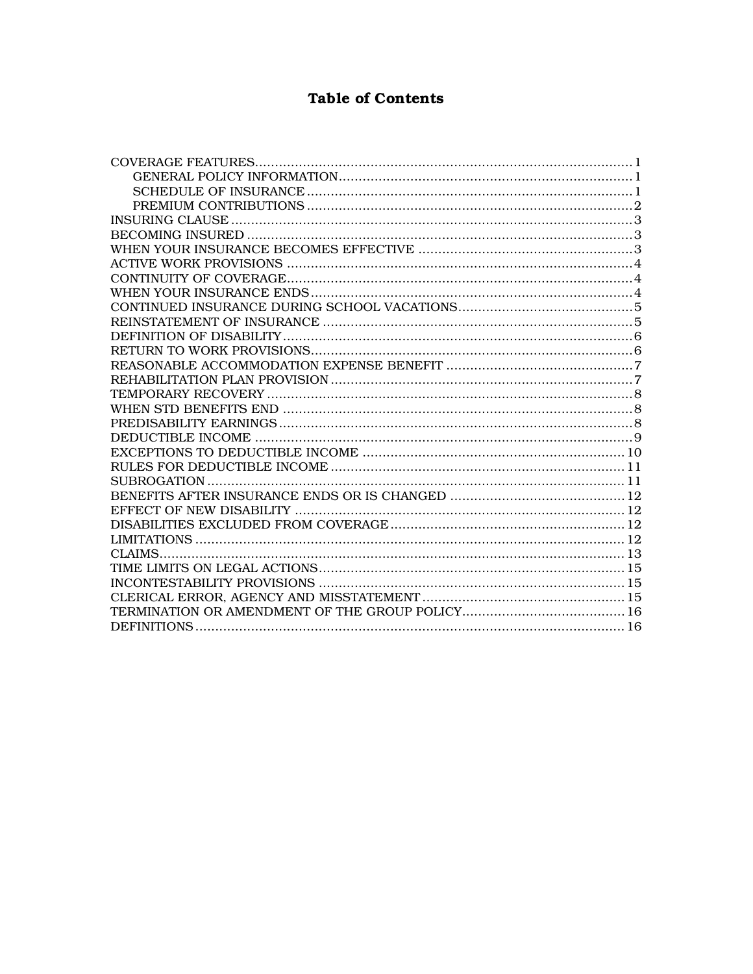# **Table of Contents**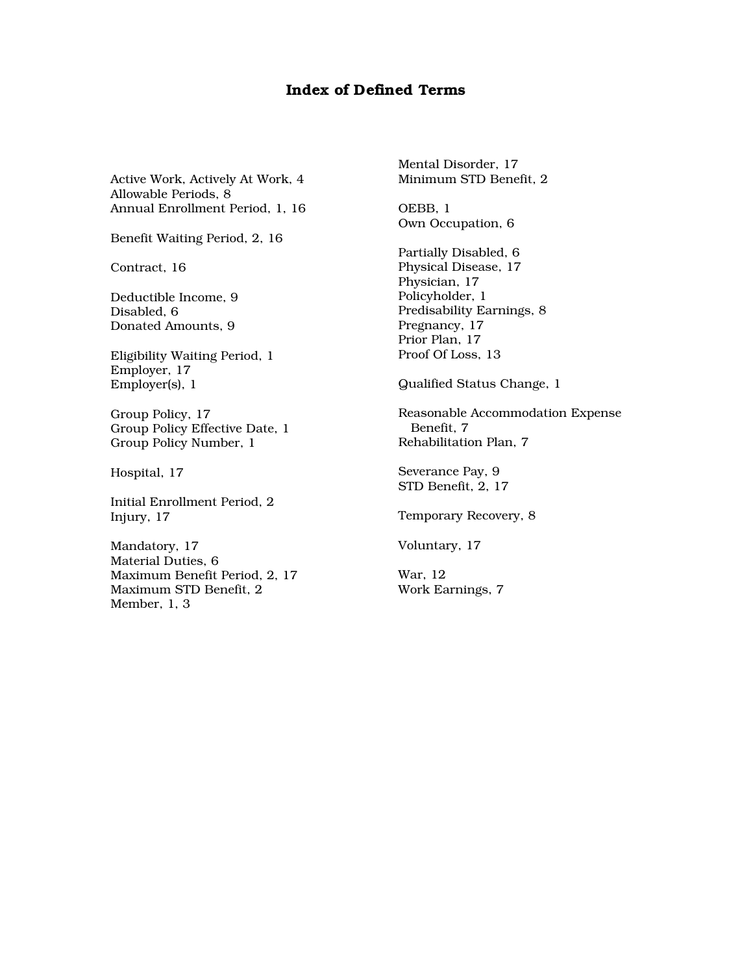# Index of Defined Terms

Active Work, Actively At Work, 4 Allowable Periods, 8 Annual Enrollment Period, 1, 16

Benefit Waiting Period, 2, 16

Contract, 16

Deductible Income, 9 Disabled, 6 Donated Amounts, 9

Eligibility Waiting Period, 1 Employer, 17 Employer(s), 1

Group Policy, 17 Group Policy Effective Date, 1 Group Policy Number, 1

Hospital, 17

Initial Enrollment Period, 2 Injury, 17

Mandatory, 17 Material Duties, 6 Maximum Benefit Period, 2, 17 Maximum STD Benefit, 2 Member, 1, 3

Mental Disorder, 17 Minimum STD Benefit, 2

OEBB, 1 Own Occupation, 6

Partially Disabled, 6 Physical Disease, 17 Physician, 17 Policyholder, 1 Predisability Earnings, 8 Pregnancy, 17 Prior Plan, 17 Proof Of Loss, 13

Qualified Status Change, 1

Reasonable Accommodation Expense Benefit, 7 Rehabilitation Plan, 7

Severance Pay, 9 STD Benefit, 2, 17

Temporary Recovery, 8

Voluntary, 17

War, 12 Work Earnings, 7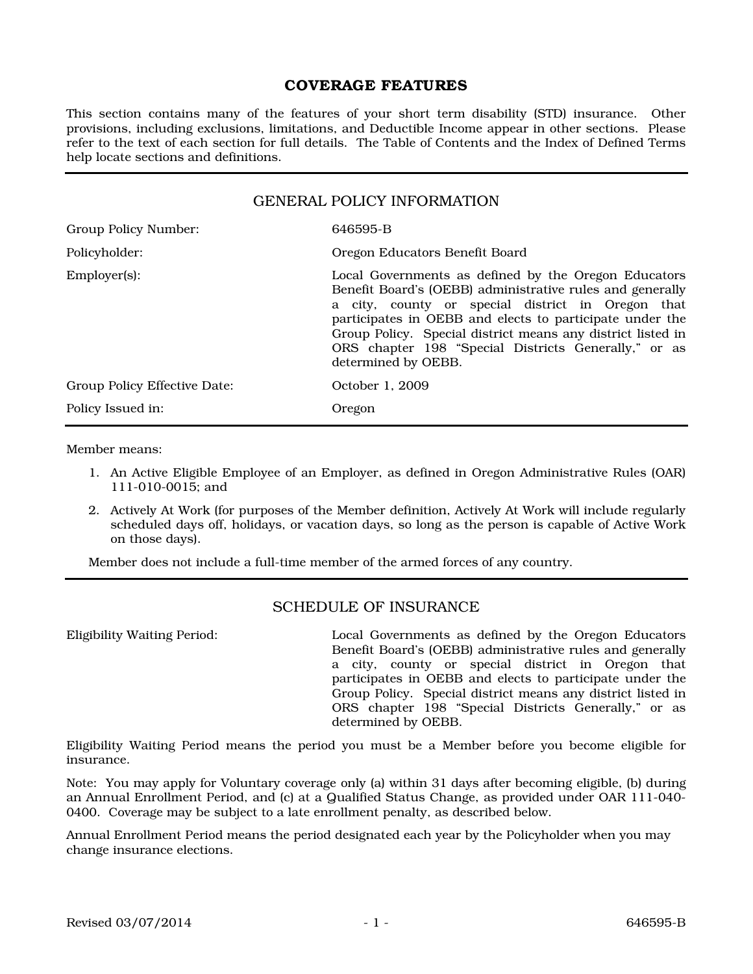### COVERAGE FEATURES

This section contains many of the features of your short term disability (STD) insurance. Other provisions, including exclusions, limitations, and Deductible Income appear in other sections. Please refer to the text of each section for full details. The Table of Contents and the Index of Defined Terms help locate sections and definitions.

| <b>GENERAL POLICY INFORMATION</b> |                                                                                                                                                                                                                                                                                                                                                                                  |  |
|-----------------------------------|----------------------------------------------------------------------------------------------------------------------------------------------------------------------------------------------------------------------------------------------------------------------------------------------------------------------------------------------------------------------------------|--|
| Group Policy Number:              | 646595-B                                                                                                                                                                                                                                                                                                                                                                         |  |
| Policyholder:                     | Oregon Educators Benefit Board                                                                                                                                                                                                                                                                                                                                                   |  |
| $Emplover(s)$ :                   | Local Governments as defined by the Oregon Educators<br>Benefit Board's (OEBB) administrative rules and generally<br>a city, county or special district in Oregon that<br>participates in OEBB and elects to participate under the<br>Group Policy. Special district means any district listed in<br>ORS chapter 198 "Special Districts Generally," or as<br>determined by OEBB. |  |
| Group Policy Effective Date:      | October 1, 2009                                                                                                                                                                                                                                                                                                                                                                  |  |
| Policy Issued in:                 | Oregon                                                                                                                                                                                                                                                                                                                                                                           |  |

Member means:

- 1. An Active Eligible Employee of an Employer, as defined in Oregon Administrative Rules (OAR) 111-010-0015; and
- 2. Actively At Work (for purposes of the Member definition, Actively At Work will include regularly scheduled days off, holidays, or vacation days, so long as the person is capable of Active Work on those days).

Member does not include a full-time member of the armed forces of any country.

#### SCHEDULE OF INSURANCE

Eligibility Waiting Period: Local Governments as defined by the Oregon Educators Benefit Board's (OEBB) administrative rules and generally a city, county or special district in Oregon that participates in OEBB and elects to participate under the Group Policy. Special district means any district listed in ORS chapter 198 "Special Districts Generally," or as determined by OEBB.

Eligibility Waiting Period means the period you must be a Member before you become eligible for insurance.

Note: You may apply for Voluntary coverage only (a) within 31 days after becoming eligible, (b) during an Annual Enrollment Period, and (c) at a Qualified Status Change, as provided under OAR 111-040- 0400. Coverage may be subject to a late enrollment penalty, as described below.

Annual Enrollment Period means the period designated each year by the Policyholder when you may change insurance elections.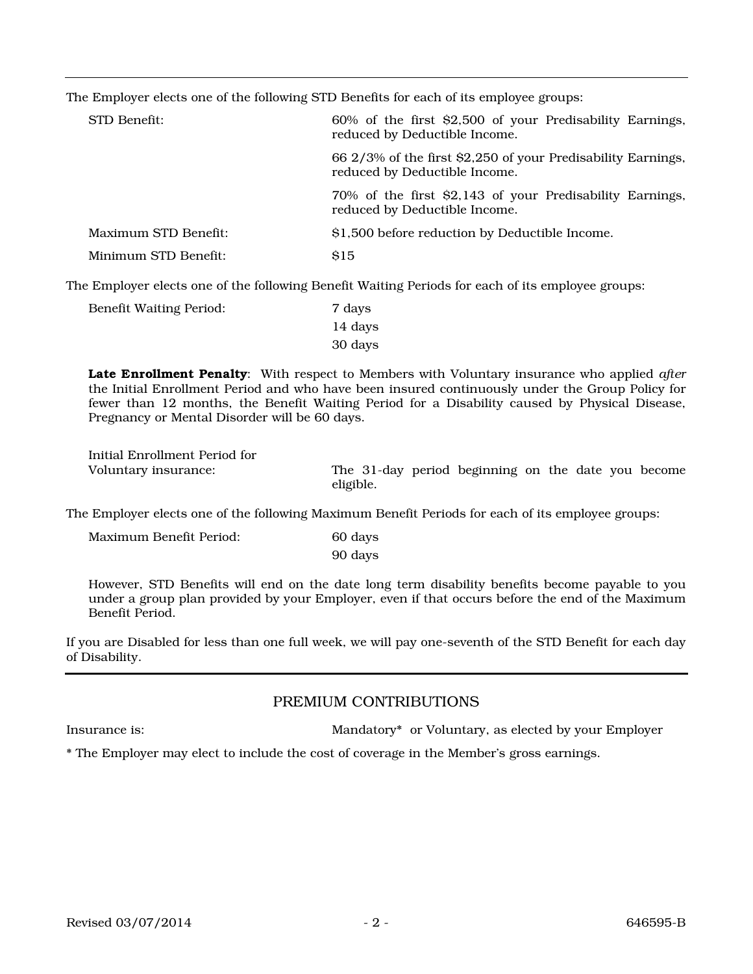The Employer elects one of the following STD Benefits for each of its employee groups:

| STD Benefit:         | 60% of the first \$2,500 of your Predisability Earnings,<br>reduced by Deductible Income.     |
|----------------------|-----------------------------------------------------------------------------------------------|
|                      | 66 2/3% of the first \$2,250 of your Predisability Earnings,<br>reduced by Deductible Income. |
|                      | 70% of the first \$2,143 of your Predisability Earnings,<br>reduced by Deductible Income.     |
| Maximum STD Benefit: | \$1,500 before reduction by Deductible Income.                                                |
| Minimum STD Benefit: | <b>S15</b>                                                                                    |

The Employer elects one of the following Benefit Waiting Periods for each of its employee groups:

| Benefit Waiting Period: | 7 days  |
|-------------------------|---------|
|                         | 14 days |
|                         | 30 days |

Late Enrollment Penalty: With respect to Members with Voluntary insurance who applied *after* the Initial Enrollment Period and who have been insured continuously under the Group Policy for fewer than 12 months, the Benefit Waiting Period for a Disability caused by Physical Disease, Pregnancy or Mental Disorder will be 60 days.

Initial Enrollment Period for

Voluntary insurance: The 31-day period beginning on the date you become eligible.

The Employer elects one of the following Maximum Benefit Periods for each of its employee groups:

| Maximum Benefit Period: | 60 days |
|-------------------------|---------|
|                         | 90 days |

However, STD Benefits will end on the date long term disability benefits become payable to you under a group plan provided by your Employer, even if that occurs before the end of the Maximum Benefit Period.

If you are Disabled for less than one full week, we will pay one-seventh of the STD Benefit for each day of Disability.

### PREMIUM CONTRIBUTIONS

Insurance is: Mandatory\* or Voluntary, as elected by your Employer

\* The Employer may elect to include the cost of coverage in the Member's gross earnings.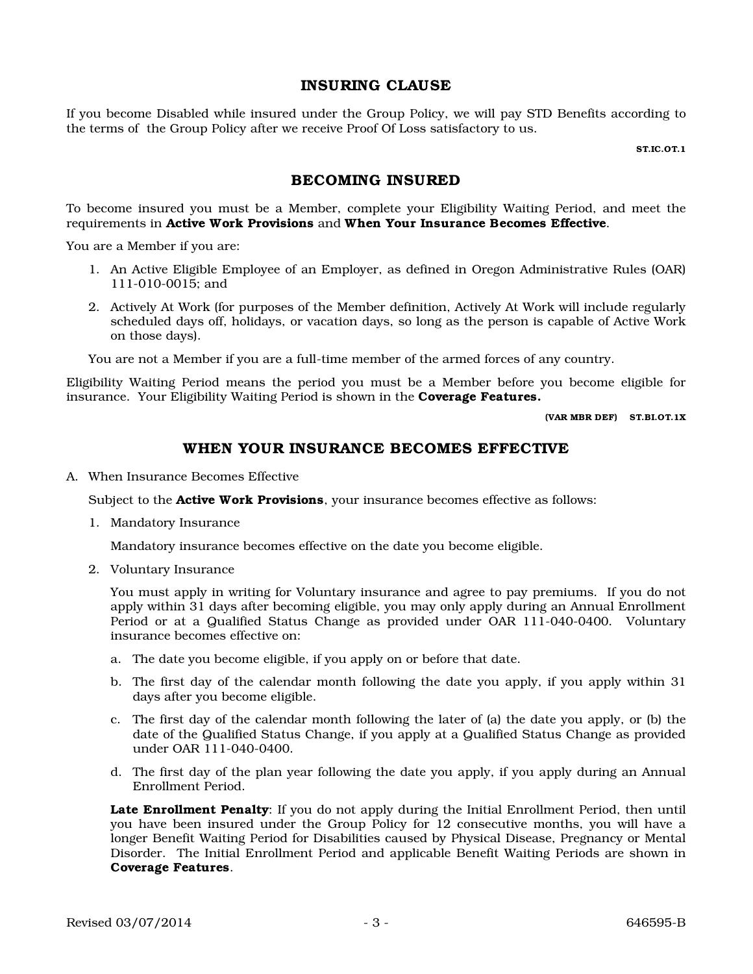### INSURING CLAUSE

If you become Disabled while insured under the Group Policy, we will pay STD Benefits according to the terms of the Group Policy after we receive Proof Of Loss satisfactory to us.

ST.IC.OT.1

# BECOMING INSURED

To become insured you must be a Member, complete your Eligibility Waiting Period, and meet the requirements in Active Work Provisions and When Your Insurance Becomes Effective.

You are a Member if you are:

- 1. An Active Eligible Employee of an Employer, as defined in Oregon Administrative Rules (OAR) 111-010-0015; and
- 2. Actively At Work (for purposes of the Member definition, Actively At Work will include regularly scheduled days off, holidays, or vacation days, so long as the person is capable of Active Work on those days).

You are not a Member if you are a full-time member of the armed forces of any country.

Eligibility Waiting Period means the period you must be a Member before you become eligible for insurance. Your Eligibility Waiting Period is shown in the Coverage Features.

(VAR MBR DEF) ST.BI.OT.1X

### WHEN YOUR INSURANCE BECOMES EFFECTIVE

A. When Insurance Becomes Effective

Subject to the **Active Work Provisions**, your insurance becomes effective as follows:

1. Mandatory Insurance

Mandatory insurance becomes effective on the date you become eligible.

2. Voluntary Insurance

You must apply in writing for Voluntary insurance and agree to pay premiums. If you do not apply within 31 days after becoming eligible, you may only apply during an Annual Enrollment Period or at a Qualified Status Change as provided under OAR 111-040-0400. Voluntary insurance becomes effective on:

- a. The date you become eligible, if you apply on or before that date.
- b. The first day of the calendar month following the date you apply, if you apply within 31 days after you become eligible.
- c. The first day of the calendar month following the later of (a) the date you apply, or (b) the date of the Qualified Status Change, if you apply at a Qualified Status Change as provided under OAR 111-040-0400.
- d. The first day of the plan year following the date you apply, if you apply during an Annual Enrollment Period.

Late Enrollment Penalty: If you do not apply during the Initial Enrollment Period, then until you have been insured under the Group Policy for 12 consecutive months, you will have a longer Benefit Waiting Period for Disabilities caused by Physical Disease, Pregnancy or Mental Disorder. The Initial Enrollment Period and applicable Benefit Waiting Periods are shown in Coverage Features.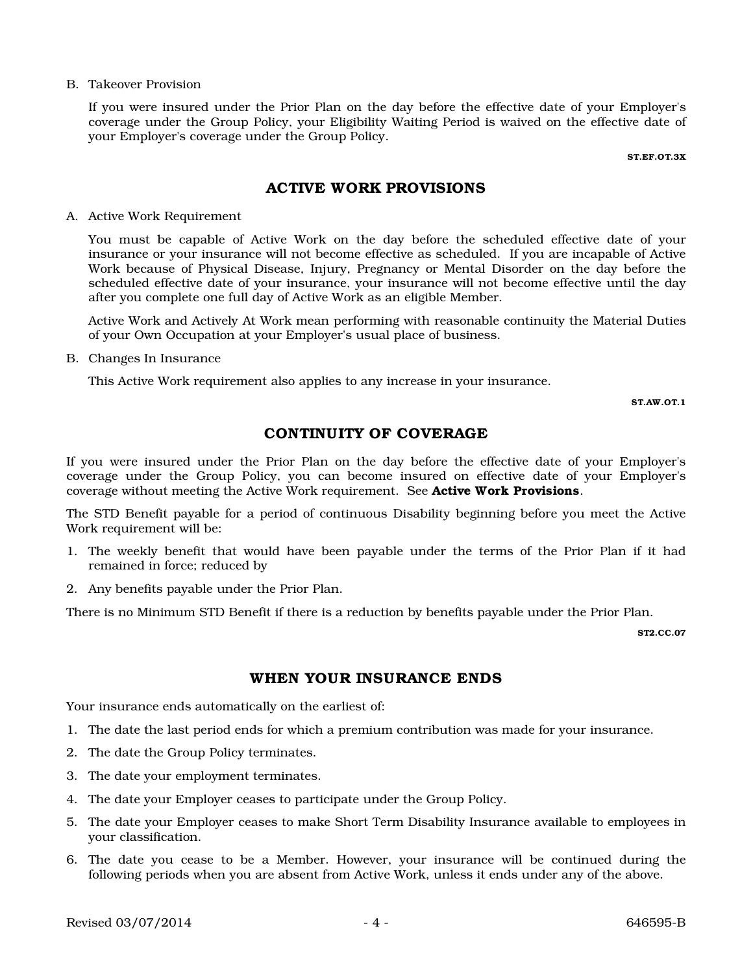#### B. Takeover Provision

If you were insured under the Prior Plan on the day before the effective date of your Employer's coverage under the Group Policy, your Eligibility Waiting Period is waived on the effective date of your Employer's coverage under the Group Policy.

ST.EF.OT.3X

### ACTIVE WORK PROVISIONS

A. Active Work Requirement

You must be capable of Active Work on the day before the scheduled effective date of your insurance or your insurance will not become effective as scheduled. If you are incapable of Active Work because of Physical Disease, Injury, Pregnancy or Mental Disorder on the day before the scheduled effective date of your insurance, your insurance will not become effective until the day after you complete one full day of Active Work as an eligible Member.

Active Work and Actively At Work mean performing with reasonable continuity the Material Duties of your Own Occupation at your Employer's usual place of business.

B. Changes In Insurance

This Active Work requirement also applies to any increase in your insurance.

ST.AW.OT.1

### CONTINUITY OF COVERAGE

If you were insured under the Prior Plan on the day before the effective date of your Employer's coverage under the Group Policy, you can become insured on effective date of your Employer's coverage without meeting the Active Work requirement. See Active Work Provisions.

The STD Benefit payable for a period of continuous Disability beginning before you meet the Active Work requirement will be:

- 1. The weekly benefit that would have been payable under the terms of the Prior Plan if it had remained in force; reduced by
- 2. Any benefits payable under the Prior Plan.

There is no Minimum STD Benefit if there is a reduction by benefits payable under the Prior Plan.

ST2.CC.07

#### WHEN YOUR INSURANCE ENDS

Your insurance ends automatically on the earliest of:

- 1. The date the last period ends for which a premium contribution was made for your insurance.
- 2. The date the Group Policy terminates.
- 3. The date your employment terminates.
- 4. The date your Employer ceases to participate under the Group Policy.
- 5. The date your Employer ceases to make Short Term Disability Insurance available to employees in your classification.
- 6. The date you cease to be a Member. However, your insurance will be continued during the following periods when you are absent from Active Work, unless it ends under any of the above.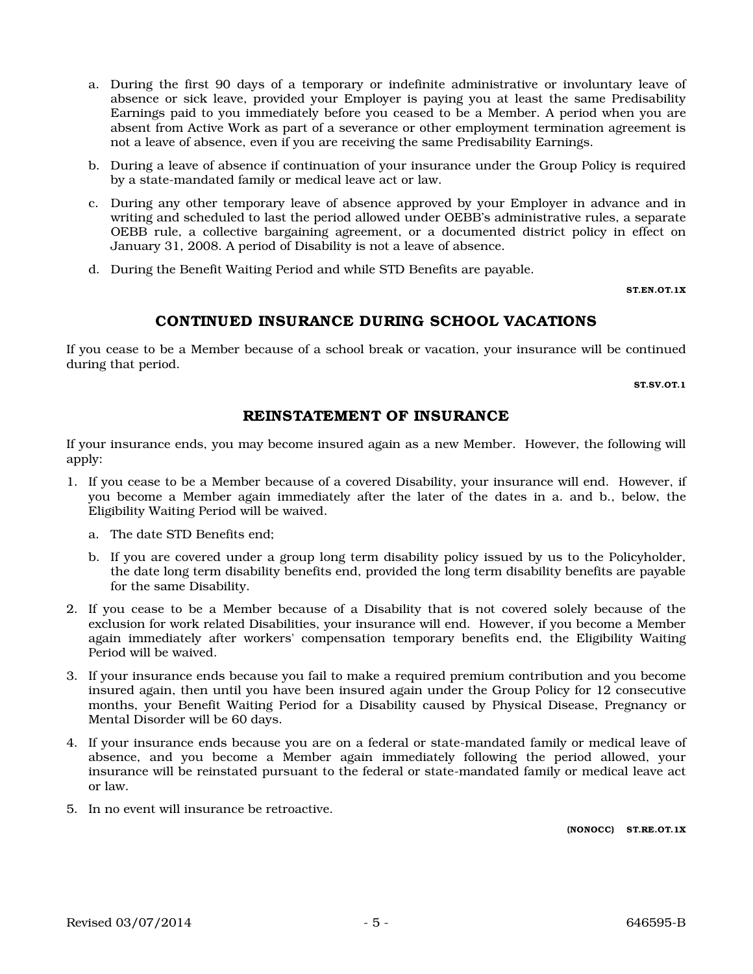- a. During the first 90 days of a temporary or indefinite administrative or involuntary leave of absence or sick leave, provided your Employer is paying you at least the same Predisability Earnings paid to you immediately before you ceased to be a Member. A period when you are absent from Active Work as part of a severance or other employment termination agreement is not a leave of absence, even if you are receiving the same Predisability Earnings.
- b. During a leave of absence if continuation of your insurance under the Group Policy is required by a state-mandated family or medical leave act or law.
- c. During any other temporary leave of absence approved by your Employer in advance and in writing and scheduled to last the period allowed under OEBB's administrative rules, a separate OEBB rule, a collective bargaining agreement, or a documented district policy in effect on January 31, 2008. A period of Disability is not a leave of absence.
- d. During the Benefit Waiting Period and while STD Benefits are payable.

ST.EN.OT.1X

### CONTINUED INSURANCE DURING SCHOOL VACATIONS

If you cease to be a Member because of a school break or vacation, your insurance will be continued during that period.

ST.SV.OT.1

### REINSTATEMENT OF INSURANCE

If your insurance ends, you may become insured again as a new Member. However, the following will apply:

- 1. If you cease to be a Member because of a covered Disability, your insurance will end. However, if you become a Member again immediately after the later of the dates in a. and b., below, the Eligibility Waiting Period will be waived.
	- a. The date STD Benefits end;
	- b. If you are covered under a group long term disability policy issued by us to the Policyholder, the date long term disability benefits end, provided the long term disability benefits are payable for the same Disability.
- 2. If you cease to be a Member because of a Disability that is not covered solely because of the exclusion for work related Disabilities, your insurance will end. However, if you become a Member again immediately after workers' compensation temporary benefits end, the Eligibility Waiting Period will be waived.
- 3. If your insurance ends because you fail to make a required premium contribution and you become insured again, then until you have been insured again under the Group Policy for 12 consecutive months, your Benefit Waiting Period for a Disability caused by Physical Disease, Pregnancy or Mental Disorder will be 60 days.
- 4. If your insurance ends because you are on a federal or state-mandated family or medical leave of absence, and you become a Member again immediately following the period allowed, your insurance will be reinstated pursuant to the federal or state-mandated family or medical leave act or law.
- 5. In no event will insurance be retroactive.

(NONOCC) ST.RE.OT.1X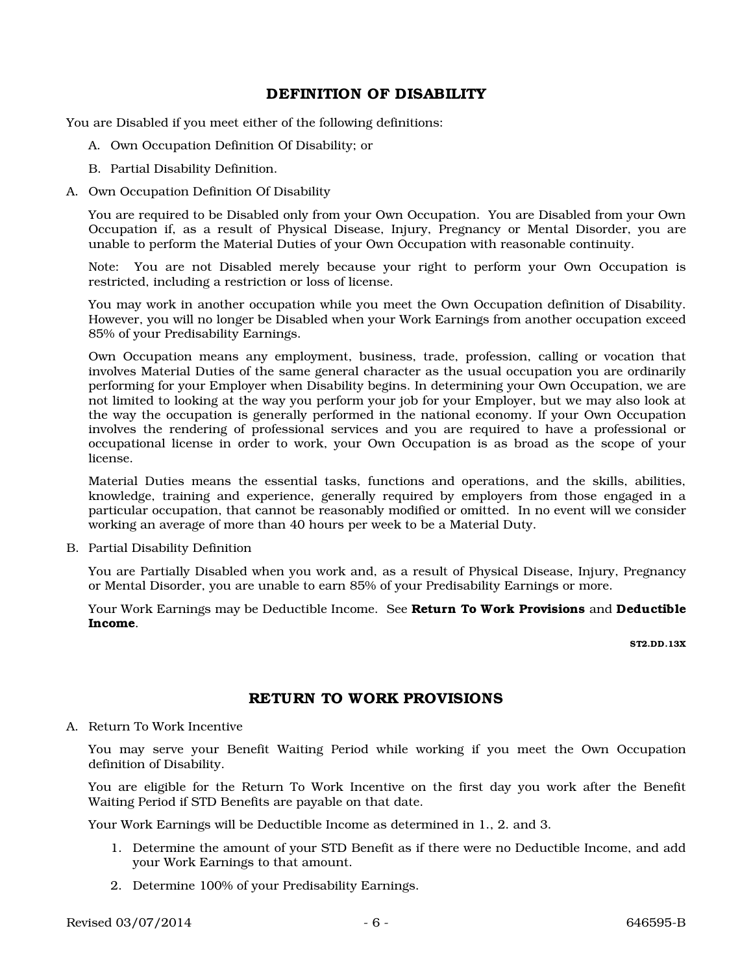# DEFINITION OF DISABILITY

You are Disabled if you meet either of the following definitions:

- A. Own Occupation Definition Of Disability; or
- B. Partial Disability Definition.
- A. Own Occupation Definition Of Disability

You are required to be Disabled only from your Own Occupation. You are Disabled from your Own Occupation if, as a result of Physical Disease, Injury, Pregnancy or Mental Disorder, you are unable to perform the Material Duties of your Own Occupation with reasonable continuity.

Note: You are not Disabled merely because your right to perform your Own Occupation is restricted, including a restriction or loss of license.

You may work in another occupation while you meet the Own Occupation definition of Disability. However, you will no longer be Disabled when your Work Earnings from another occupation exceed 85% of your Predisability Earnings.

Own Occupation means any employment, business, trade, profession, calling or vocation that involves Material Duties of the same general character as the usual occupation you are ordinarily performing for your Employer when Disability begins. In determining your Own Occupation, we are not limited to looking at the way you perform your job for your Employer, but we may also look at the way the occupation is generally performed in the national economy. If your Own Occupation involves the rendering of professional services and you are required to have a professional or occupational license in order to work, your Own Occupation is as broad as the scope of your license.

Material Duties means the essential tasks, functions and operations, and the skills, abilities, knowledge, training and experience, generally required by employers from those engaged in a particular occupation, that cannot be reasonably modified or omitted. In no event will we consider working an average of more than 40 hours per week to be a Material Duty.

B. Partial Disability Definition

You are Partially Disabled when you work and, as a result of Physical Disease, Injury, Pregnancy or Mental Disorder, you are unable to earn 85% of your Predisability Earnings or more.

Your Work Earnings may be Deductible Income. See Return To Work Provisions and Deductible Income.

ST2.DD.13X

### RETURN TO WORK PROVISIONS

A. Return To Work Incentive

You may serve your Benefit Waiting Period while working if you meet the Own Occupation definition of Disability.

You are eligible for the Return To Work Incentive on the first day you work after the Benefit Waiting Period if STD Benefits are payable on that date.

Your Work Earnings will be Deductible Income as determined in 1., 2. and 3.

- 1. Determine the amount of your STD Benefit as if there were no Deductible Income, and add your Work Earnings to that amount.
- 2. Determine 100% of your Predisability Earnings.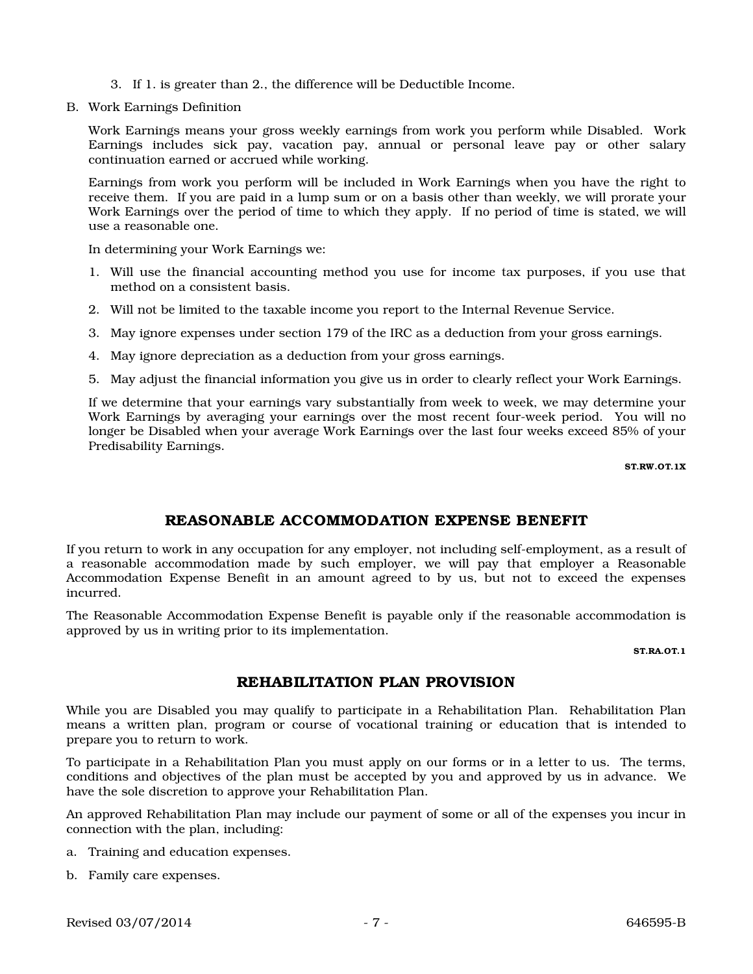- 3. If 1. is greater than 2., the difference will be Deductible Income.
- B. Work Earnings Definition

Work Earnings means your gross weekly earnings from work you perform while Disabled. Work Earnings includes sick pay, vacation pay, annual or personal leave pay or other salary continuation earned or accrued while working.

Earnings from work you perform will be included in Work Earnings when you have the right to receive them. If you are paid in a lump sum or on a basis other than weekly, we will prorate your Work Earnings over the period of time to which they apply. If no period of time is stated, we will use a reasonable one.

In determining your Work Earnings we:

- 1. Will use the financial accounting method you use for income tax purposes, if you use that method on a consistent basis.
- 2. Will not be limited to the taxable income you report to the Internal Revenue Service.
- 3. May ignore expenses under section 179 of the IRC as a deduction from your gross earnings.
- 4. May ignore depreciation as a deduction from your gross earnings.
- 5. May adjust the financial information you give us in order to clearly reflect your Work Earnings.

If we determine that your earnings vary substantially from week to week, we may determine your Work Earnings by averaging your earnings over the most recent four-week period. You will no longer be Disabled when your average Work Earnings over the last four weeks exceed 85% of your Predisability Earnings.

ST.RW.OT.1X

### REASONABLE ACCOMMODATION EXPENSE BENEFIT

If you return to work in any occupation for any employer, not including self-employment, as a result of a reasonable accommodation made by such employer, we will pay that employer a Reasonable Accommodation Expense Benefit in an amount agreed to by us, but not to exceed the expenses incurred.

The Reasonable Accommodation Expense Benefit is payable only if the reasonable accommodation is approved by us in writing prior to its implementation.

ST.RA.OT.1

### REHABILITATION PLAN PROVISION

While you are Disabled you may qualify to participate in a Rehabilitation Plan. Rehabilitation Plan means a written plan, program or course of vocational training or education that is intended to prepare you to return to work.

To participate in a Rehabilitation Plan you must apply on our forms or in a letter to us. The terms, conditions and objectives of the plan must be accepted by you and approved by us in advance. We have the sole discretion to approve your Rehabilitation Plan.

An approved Rehabilitation Plan may include our payment of some or all of the expenses you incur in connection with the plan, including:

- a. Training and education expenses.
- b. Family care expenses.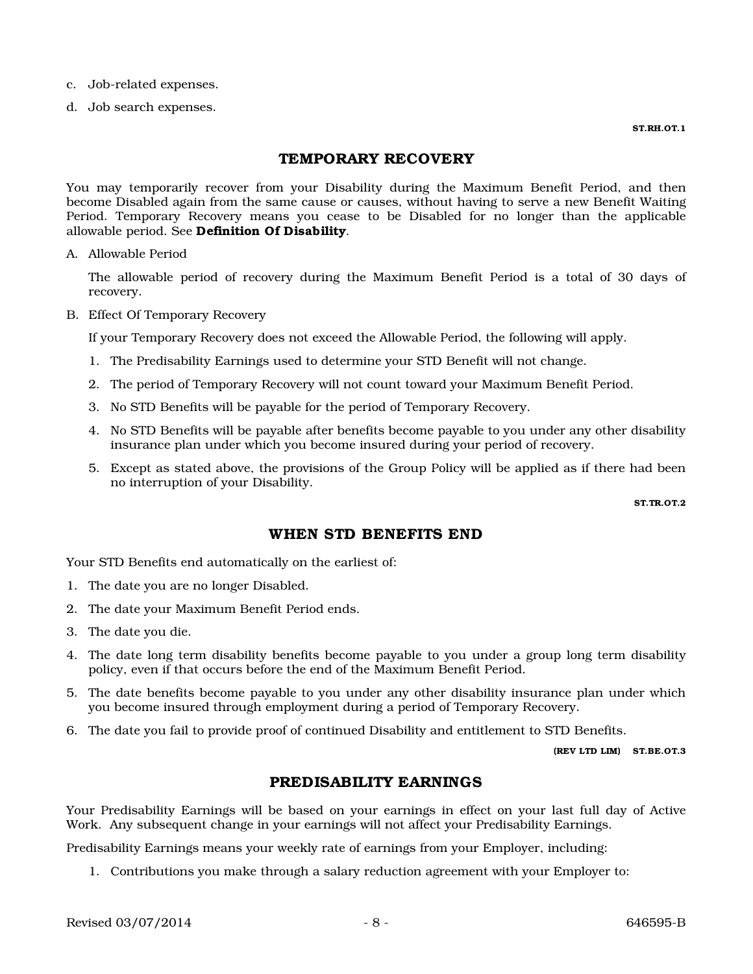- c. Job-related expenses.
- d. Job search expenses.

ST.RH.OT.1

### TEMPORARY RECOVERY

You may temporarily recover from your Disability during the Maximum Benefit Period, and then become Disabled again from the same cause or causes, without having to serve a new Benefit Waiting Period. Temporary Recovery means you cease to be Disabled for no longer than the applicable allowable period. See Definition Of Disability.

A. Allowable Period

The allowable period of recovery during the Maximum Benefit Period is a total of 30 days of recovery.

B. Effect Of Temporary Recovery

If your Temporary Recovery does not exceed the Allowable Period, the following will apply.

- 1. The Predisability Earnings used to determine your STD Benefit will not change.
- 2. The period of Temporary Recovery will not count toward your Maximum Benefit Period.
- 3. No STD Benefits will be payable for the period of Temporary Recovery.
- 4. No STD Benefits will be payable after benefits become payable to you under any other disability insurance plan under which you become insured during your period of recovery.
- 5. Except as stated above, the provisions of the Group Policy will be applied as if there had been no interruption of your Disability.

ST.TR.OT.2

### WHEN STD BENEFITS END

Your STD Benefits end automatically on the earliest of:

- 1. The date you are no longer Disabled.
- 2. The date your Maximum Benefit Period ends.
- 3. The date you die.
- 4. The date long term disability benefits become payable to you under a group long term disability policy, even if that occurs before the end of the Maximum Benefit Period.
- 5. The date benefits become payable to you under any other disability insurance plan under which you become insured through employment during a period of Temporary Recovery.
- 6. The date you fail to provide proof of continued Disability and entitlement to STD Benefits.

(REV LTD LIM) ST.BE.OT.3

#### PREDISABILITY EARNINGS

Your Predisability Earnings will be based on your earnings in effect on your last full day of Active Work. Any subsequent change in your earnings will not affect your Predisability Earnings.

Predisability Earnings means your weekly rate of earnings from your Employer, including:

1. Contributions you make through a salary reduction agreement with your Employer to: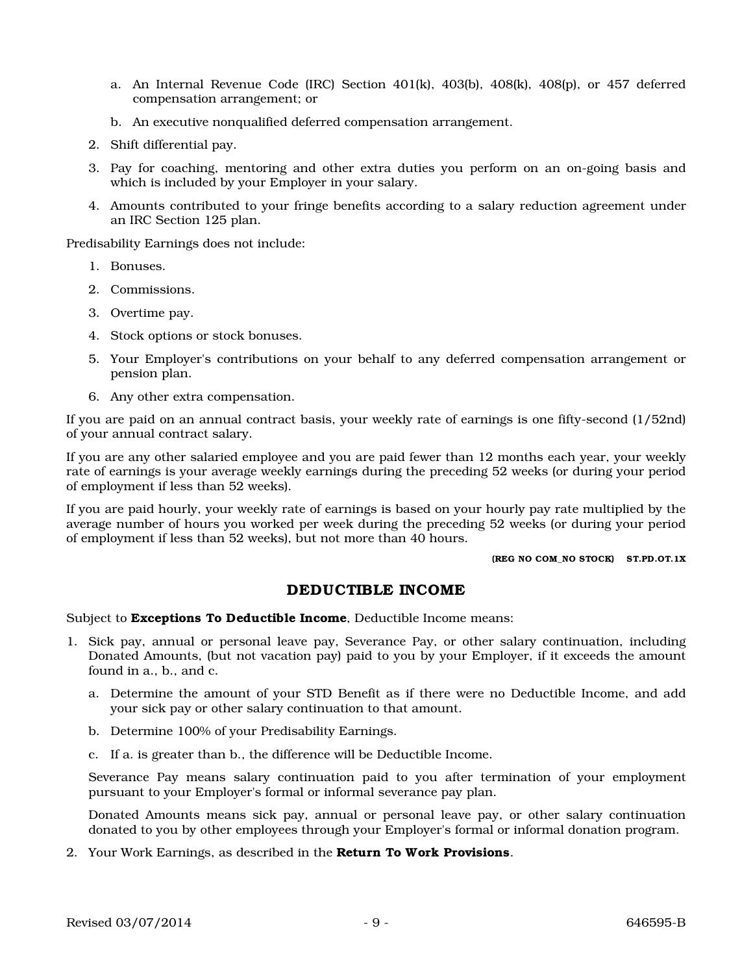- a. An Internal Revenue Code (IRC) Section  $401(k)$ ,  $403(b)$ ,  $408(k)$ ,  $408(p)$ , or  $457$  deferred compensation arrangement; or
- b. An executive nonqualified deferred compensation arrangement.
- 2. Shift differential pay.
- 3. Pay for coaching, mentoring and other extra duties you perform on an on-going basis and which is included by your Employer in your salary.
- 4. Amounts contributed to your fringe benefits according to a salary reduction agreement under an IRC Section 125 plan.

Predisability Earnings does not include:

- 1. Bonuses.
- 2. Commissions.
- 3. Overtime pay.
- 4. Stock options or stock bonuses.
- 5. Your Employer's contributions on your behalf to any deferred compensation arrangement or pension plan.
- 6. Any other extra compensation.

If you are paid on an annual contract basis, your weekly rate of earnings is one fifty-second (1/52nd) of your annual contract salary.

If you are any other salaried employee and you are paid fewer than 12 months each year, your weekly rate of earnings is your average weekly earnings during the preceding 52 weeks (or during your period of employment if less than 52 weeks).

If you are paid hourly, your weekly rate of earnings is based on your hourly pay rate multiplied by the average number of hours you worked per week during the preceding 52 weeks (or during your period of employment if less than 52 weeks), but not more than 40 hours.

(REG NO COM\_NO STOCK) ST.PD.OT.1X

#### DEDUCTIBLE INCOME

Subject to **Exceptions To Deductible Income**, Deductible Income means:

- 1. Sick pay, annual or personal leave pay, Severance Pay, or other salary continuation, including Donated Amounts, (but not vacation pay) paid to you by your Employer, if it exceeds the amount found in a., b., and c.
	- a. Determine the amount of your STD Benefit as if there were no Deductible Income, and add your sick pay or other salary continuation to that amount.
	- b. Determine 100% of your Predisability Earnings.
	- c. If a. is greater than b., the difference will be Deductible Income.

Severance Pay means salary continuation paid to you after termination of your employment pursuant to your Employer's formal or informal severance pay plan.

Donated Amounts means sick pay, annual or personal leave pay, or other salary continuation donated to you by other employees through your Employer's formal or informal donation program.

2. Your Work Earnings, as described in the **Return To Work Provisions**.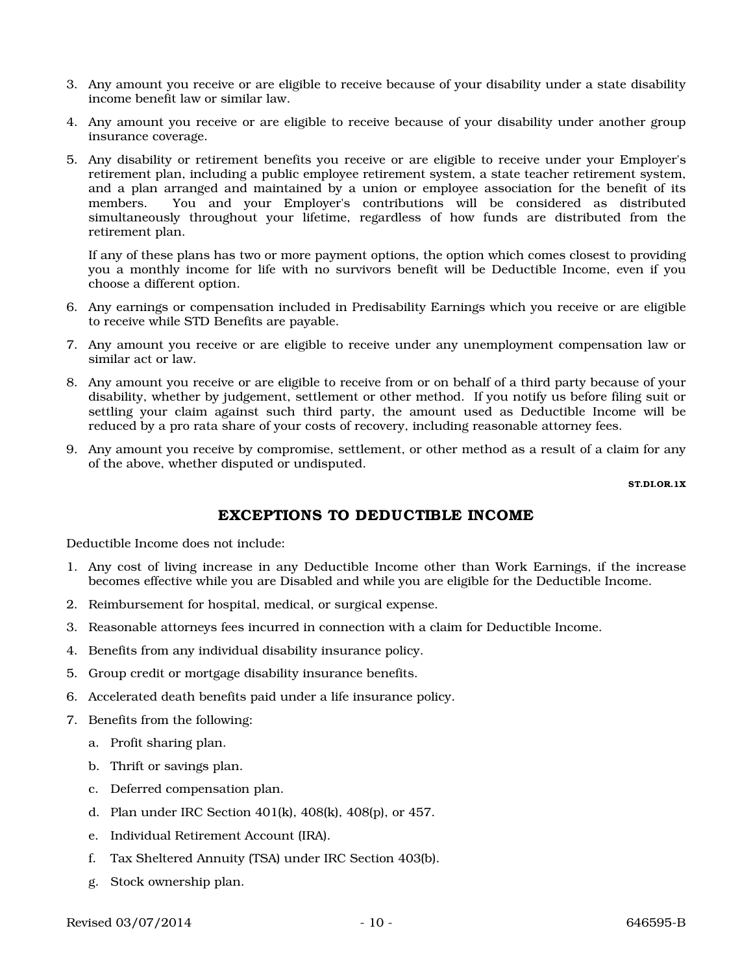- 3. Any amount you receive or are eligible to receive because of your disability under a state disability income benefit law or similar law.
- 4. Any amount you receive or are eligible to receive because of your disability under another group insurance coverage.
- 5. Any disability or retirement benefits you receive or are eligible to receive under your Employer's retirement plan, including a public employee retirement system, a state teacher retirement system, and a plan arranged and maintained by a union or employee association for the benefit of its members. You and your Employer's contributions will be considered as distributed simultaneously throughout your lifetime, regardless of how funds are distributed from the retirement plan.

If any of these plans has two or more payment options, the option which comes closest to providing you a monthly income for life with no survivors benefit will be Deductible Income, even if you choose a different option.

- 6. Any earnings or compensation included in Predisability Earnings which you receive or are eligible to receive while STD Benefits are payable.
- 7. Any amount you receive or are eligible to receive under any unemployment compensation law or similar act or law.
- 8. Any amount you receive or are eligible to receive from or on behalf of a third party because of your disability, whether by judgement, settlement or other method. If you notify us before filing suit or settling your claim against such third party, the amount used as Deductible Income will be reduced by a pro rata share of your costs of recovery, including reasonable attorney fees.
- 9. Any amount you receive by compromise, settlement, or other method as a result of a claim for any of the above, whether disputed or undisputed.

ST.DI.OR.1X

# EXCEPTIONS TO DEDUCTIBLE INCOME

Deductible Income does not include:

- 1. Any cost of living increase in any Deductible Income other than Work Earnings, if the increase becomes effective while you are Disabled and while you are eligible for the Deductible Income.
- 2. Reimbursement for hospital, medical, or surgical expense.
- 3. Reasonable attorneys fees incurred in connection with a claim for Deductible Income.
- 4. Benefits from any individual disability insurance policy.
- 5. Group credit or mortgage disability insurance benefits.
- 6. Accelerated death benefits paid under a life insurance policy.
- 7. Benefits from the following:
	- a. Profit sharing plan.
	- b. Thrift or savings plan.
	- c. Deferred compensation plan.
	- d. Plan under IRC Section 401(k), 408(k), 408(p), or 457.
	- e. Individual Retirement Account (IRA).
	- f. Tax Sheltered Annuity (TSA) under IRC Section 403(b).
	- g. Stock ownership plan.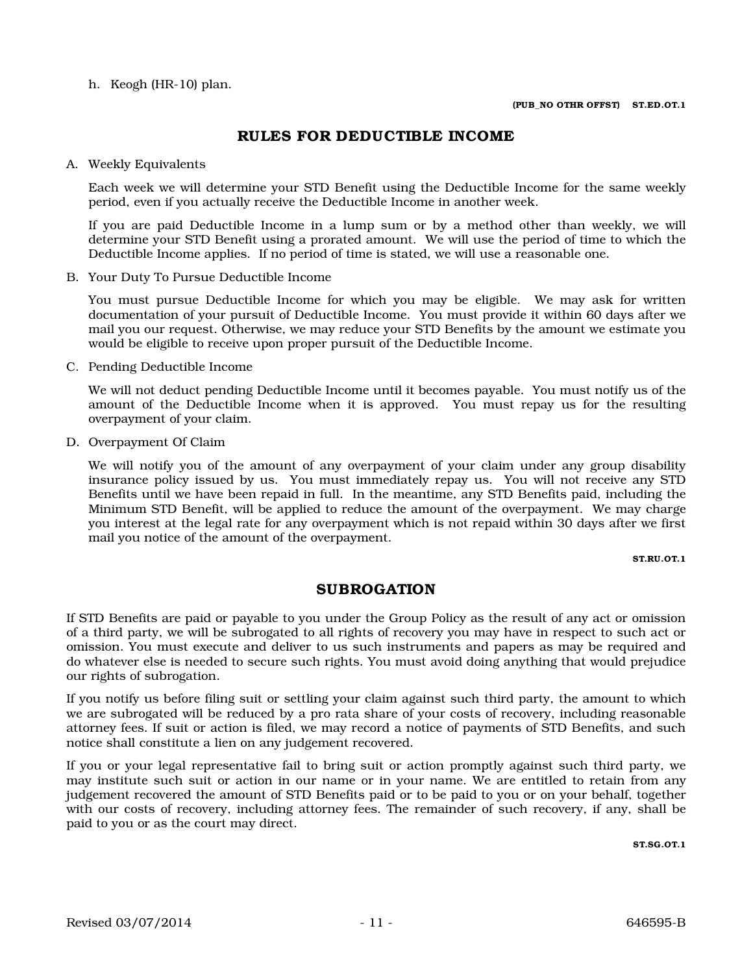h. Keogh (HR-10) plan.

## RULES FOR DEDUCTIBLE INCOME

A. Weekly Equivalents

Each week we will determine your STD Benefit using the Deductible Income for the same weekly period, even if you actually receive the Deductible Income in another week.

If you are paid Deductible Income in a lump sum or by a method other than weekly, we will determine your STD Benefit using a prorated amount. We will use the period of time to which the Deductible Income applies. If no period of time is stated, we will use a reasonable one.

B. Your Duty To Pursue Deductible Income

You must pursue Deductible Income for which you may be eligible. We may ask for written documentation of your pursuit of Deductible Income. You must provide it within 60 days after we mail you our request. Otherwise, we may reduce your STD Benefits by the amount we estimate you would be eligible to receive upon proper pursuit of the Deductible Income.

C. Pending Deductible Income

We will not deduct pending Deductible Income until it becomes payable. You must notify us of the amount of the Deductible Income when it is approved. You must repay us for the resulting overpayment of your claim.

D. Overpayment Of Claim

We will notify you of the amount of any overpayment of your claim under any group disability insurance policy issued by us. You must immediately repay us. You will not receive any STD Benefits until we have been repaid in full. In the meantime, any STD Benefits paid, including the Minimum STD Benefit, will be applied to reduce the amount of the overpayment. We may charge you interest at the legal rate for any overpayment which is not repaid within 30 days after we first mail you notice of the amount of the overpayment.

#### ST.RU .OT.1

### SUBROGATION

If STD Benefits are paid or payable to you under the Group Policy as the result of any act or omission of a third party, we will be subrogated to all rights of recovery you may have in respect to such act or omission. You must execute and deliver to us such instruments and papers as may be required and do whatever else is needed to secure such rights. You must avoid doing anything that would prejudice our rights of subrogation.

If you notify us before filing suit or settling your claim against such third party, the amount to which we are subrogated will be reduced by a pro rata share of your costs of recovery, including reasonable attorney fees. If suit or action is filed, we may record a notice of payments of STD Benefits, and such notice shall constitute a lien on any judgement recovered.

If you or your legal representative fail to bring suit or action promptly against such third party, we may institute such suit or action in our name or in your name. We are entitled to retain from any judgement recovered the amount of STD Benefits paid or to be paid to you or on your behalf, together with our costs of recovery, including attorney fees. The remainder of such recovery, if any, shall be paid to you or as the court may direct.

ST.SG.OT.1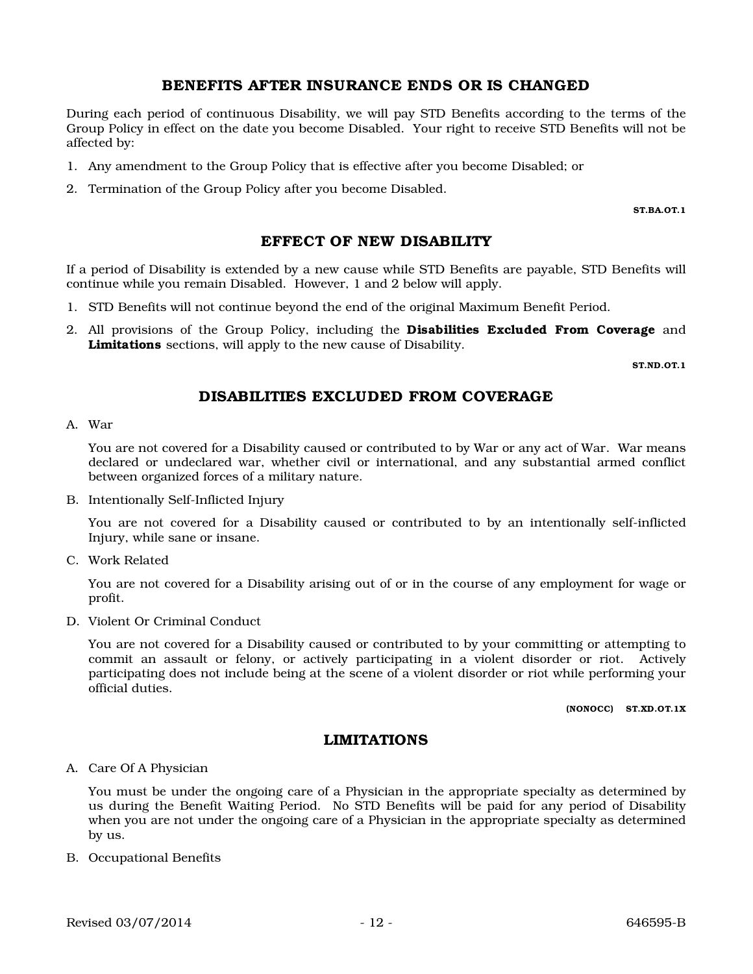### BENEFITS AFTER INSURANCE ENDS OR IS CHANGED

During each period of continuous Disability, we will pay STD Benefits according to the terms of the Group Policy in effect on the date you become Disabled. Your right to receive STD Benefits will not be affected by:

- 1. Any amendment to the Group Policy that is effective after you become Disabled; or
- 2. Termination of the Group Policy after you become Disabled.

ST.BA.OT.1

#### EFFECT OF NEW DISABILITY

If a period of Disability is extended by a new cause while STD Benefits are payable, STD Benefits will continue while you remain Disabled. However, 1 and 2 below will apply.

- 1. STD Benefits will not continue beyond the end of the original Maximum Benefit Period.
- 2. All provisions of the Group Policy, including the **Disabilities Excluded From Coverage** and Limitations sections, will apply to the new cause of Disability.

ST.ND.OT.1

### DISABILITIES EXCLUDED FROM COVERAGE

A. War

You are not covered for a Disability caused or contributed to by War or any act of War. War means declared or undeclared war, whether civil or international, and any substantial armed conflict between organized forces of a military nature.

B. Intentionally Self-Inflicted Injury

You are not covered for a Disability caused or contributed to by an intentionally self-inflicted Injury, while sane or insane.

C. Work Related

You are not covered for a Disability arising out of or in the course of any employment for wage or profit.

D. Violent Or Criminal Conduct

You are not covered for a Disability caused or contributed to by your committing or attempting to commit an assault or felony, or actively participating in a violent disorder or riot. Actively participating does not include being at the scene of a violent disorder or riot while performing your official duties.

(NONOCC) ST.XD.OT.1X

#### LIMITATIONS

#### A. Care Of A Physician

You must be under the ongoing care of a Physician in the appropriate specialty as determined by us during the Benefit Waiting Period. No STD Benefits will be paid for any period of Disability when you are not under the ongoing care of a Physician in the appropriate specialty as determined by us.

B. Occupational Benefits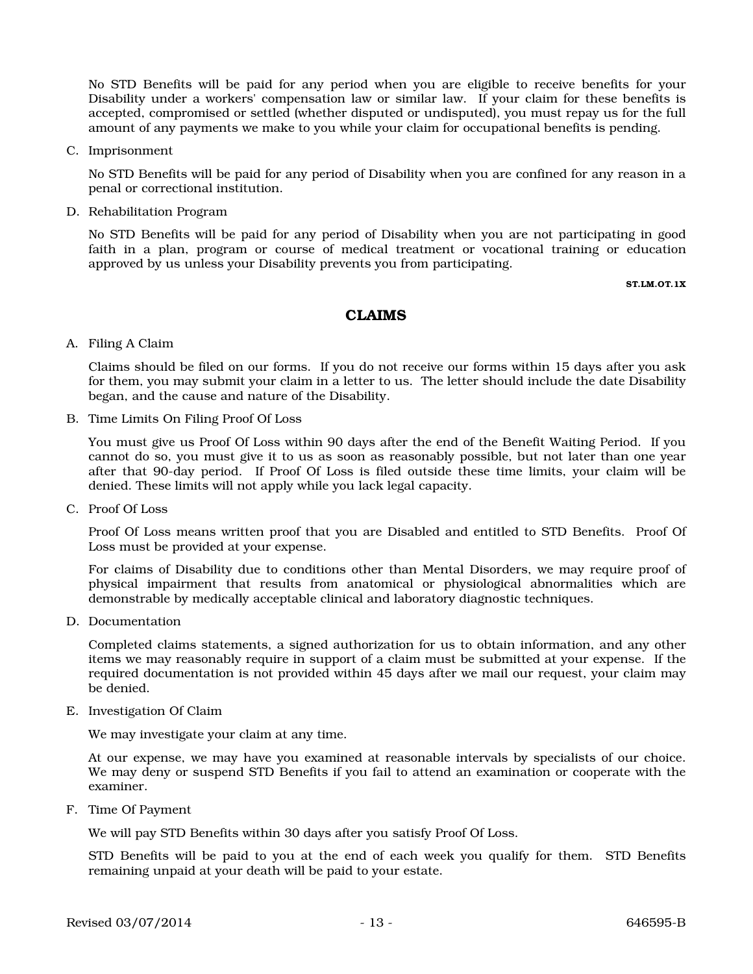No STD Benefits will be paid for any period when you are eligible to receive benefits for your Disability under a workers' compensation law or similar law. If your claim for these benefits is accepted, compromised or settled (whether disputed or undisputed), you must repay us for the full amount of any payments we make to you while your claim for occupational benefits is pending.

C. Imprisonment

No STD Benefits will be paid for any period of Disability when you are confined for any reason in a penal or correctional institution.

D. Rehabilitation Program

No STD Benefits will be paid for any period of Disability when you are not participating in good faith in a plan, program or course of medical treatment or vocational training or education approved by us unless your Disability prevents you from participating.

ST.LM.OT.1X

### CLAIMS

A. Filing A Claim

Claims should be filed on our forms. If you do not receive our forms within 15 days after you ask for them, you may submit your claim in a letter to us. The letter should include the date Disability began, and the cause and nature of the Disability.

B. Time Limits On Filing Proof Of Loss

You must give us Proof Of Loss within 90 days after the end of the Benefit Waiting Period. If you cannot do so, you must give it to us as soon as reasonably possible, but not later than one year after that 90-day period. If Proof Of Loss is filed outside these time limits, your claim will be denied. These limits will not apply while you lack legal capacity.

C. Proof Of Loss

Proof Of Loss means written proof that you are Disabled and entitled to STD Benefits. Proof Of Loss must be provided at your expense.

For claims of Disability due to conditions other than Mental Disorders, we may require proof of physical impairment that results from anatomical or physiological abnormalities which are demonstrable by medically acceptable clinical and laboratory diagnostic techniques.

D. Documentation

Completed claims statements, a signed authorization for us to obtain information, and any other items we may reasonably require in support of a claim must be submitted at your expense. If the required documentation is not provided within 45 days after we mail our request, your claim may be denied.

E. Investigation Of Claim

We may investigate your claim at any time.

At our expense, we may have you examined at reasonable intervals by specialists of our choice. We may deny or suspend STD Benefits if you fail to attend an examination or cooperate with the examiner.

F. Time Of Payment

We will pay STD Benefits within 30 days after you satisfy Proof Of Loss.

STD Benefits will be paid to you at the end of each week you qualify for them. STD Benefits remaining unpaid at your death will be paid to your estate.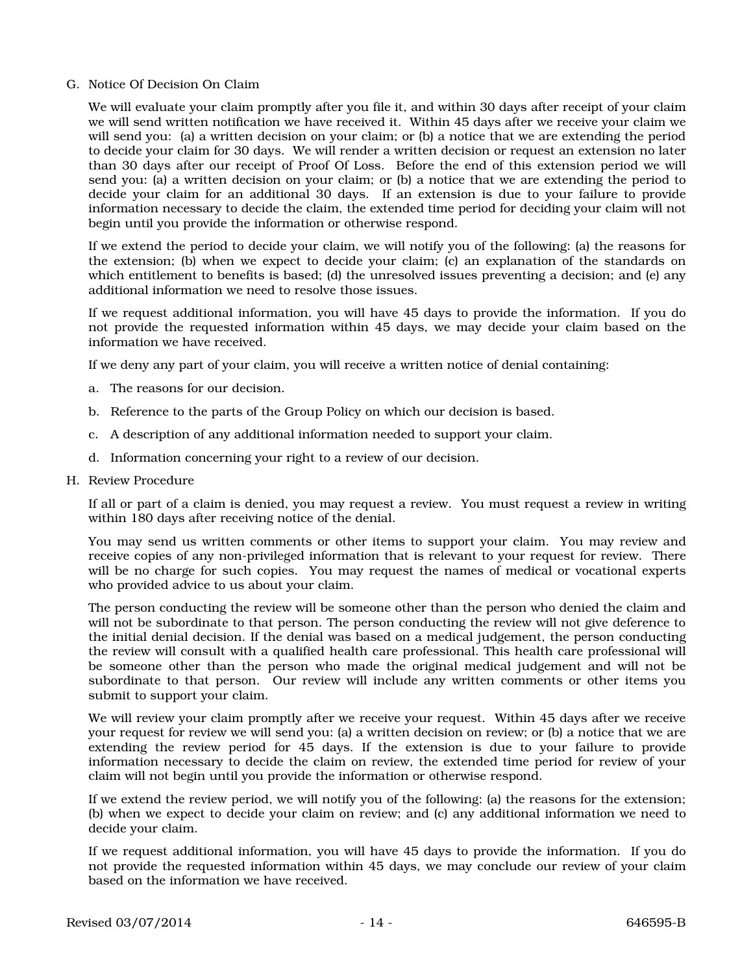#### G. Notice Of Decision On Claim

We will evaluate your claim promptly after you file it, and within 30 days after receipt of your claim we will send written notification we have received it. Within 45 days after we receive your claim we will send you: (a) a written decision on your claim; or (b) a notice that we are extending the period to decide your claim for 30 days. We will render a written decision or request an extension no later than 30 days after our receipt of Proof Of Loss. Before the end of this extension period we will send you: (a) a written decision on your claim; or (b) a notice that we are extending the period to decide your claim for an additional 30 days. If an extension is due to your failure to provide information necessary to decide the claim, the extended time period for deciding your claim will not begin until you provide the information or otherwise respond.

If we extend the period to decide your claim, we will notify you of the following: (a) the reasons for the extension; (b) when we expect to decide your claim; (c) an explanation of the standards on which entitlement to benefits is based; (d) the unresolved issues preventing a decision; and (e) any additional information we need to resolve those issues.

If we request additional information, you will have 45 days to provide the information. If you do not provide the requested information within 45 days, we may decide your claim based on the information we have received.

If we deny any part of your claim, you will receive a written notice of denial containing:

- a. The reasons for our decision.
- b. Reference to the parts of the Group Policy on which our decision is based.
- c. A description of any additional information needed to support your claim.
- d. Information concerning your right to a review of our decision.
- H. Review Procedure

If all or part of a claim is denied, you may request a review. You must request a review in writing within 180 days after receiving notice of the denial.

You may send us written comments or other items to support your claim. You may review and receive copies of any non-privileged information that is relevant to your request for review. There will be no charge for such copies. You may request the names of medical or vocational experts who provided advice to us about your claim.

The person conducting the review will be someone other than the person who denied the claim and will not be subordinate to that person. The person conducting the review will not give deference to the initial denial decision. If the denial was based on a medical judgement, the person conducting the review will consult with a qualified health care professional. This health care professional will be someone other than the person who made the original medical judgement and will not be subordinate to that person. Our review will include any written comments or other items you submit to support your claim.

We will review your claim promptly after we receive your request. Within 45 days after we receive your request for review we will send you: (a) a written decision on review; or (b) a notice that we are extending the review period for 45 days. If the extension is due to your failure to provide information necessary to decide the claim on review, the extended time period for review of your claim will not begin until you provide the information or otherwise respond.

If we extend the review period, we will notify you of the following: (a) the reasons for the extension; (b) when we expect to decide your claim on review; and (c) any additional information we need to decide your claim.

If we request additional information, you will have 45 days to provide the information. If you do not provide the requested information within 45 days, we may conclude our review of your claim based on the information we have received.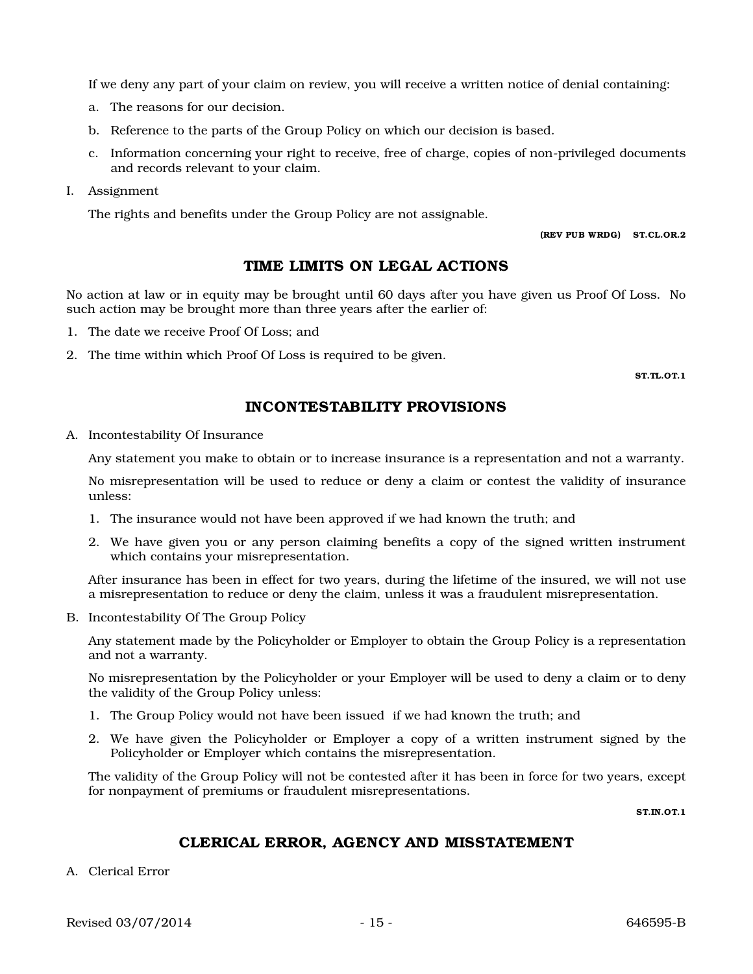If we deny any part of your claim on review, you will receive a written notice of denial containing:

- a. The reasons for our decision.
- b. Reference to the parts of the Group Policy on which our decision is based.
- c. Information concerning your right to receive, free of charge, copies of non-privileged documents and records relevant to your claim.
- I. Assignment

The rights and benefits under the Group Policy are not assignable.

(REV PUB WRDG) ST.CL.OR.2

### TIME LIMITS ON LEGAL ACTIONS

No action at law or in equity may be brought until 60 days after you have given us Proof Of Loss. No such action may be brought more than three years after the earlier of:

- 1. The date we receive Proof Of Loss; and
- 2. The time within which Proof Of Loss is required to be given.

ST.TL.OT.1

### INCONTESTABILITY PROVISIONS

A. Incontestability Of Insurance

Any statement you make to obtain or to increase insurance is a representation and not a warranty.

No misrepresentation will be used to reduce or deny a claim or contest the validity of insurance unless:

- 1. The insurance would not have been approved if we had known the truth; and
- 2. We have given you or any person claiming benefits a copy of the signed written instrument which contains your misrepresentation.

After insurance has been in effect for two years, during the lifetime of the insured, we will not use a misrepresentation to reduce or deny the claim, unless it was a fraudulent misrepresentation.

B. Incontestability Of The Group Policy

Any statement made by the Policyholder or Employer to obtain the Group Policy is a representation and not a warranty.

No misrepresentation by the Policyholder or your Employer will be used to deny a claim or to deny the validity of the Group Policy unless:

- 1. The Group Policy would not have been issued if we had known the truth; and
- 2. We have given the Policyholder or Employer a copy of a written instrument signed by the Policyholder or Employer which contains the misrepresentation.

The validity of the Group Policy will not be contested after it has been in force for two years, except for nonpayment of premiums or fraudulent misrepresentations.

ST.IN.OT.1

### CLERICAL ERROR, AGENCY AND MISSTATEMENT

A. Clerical Error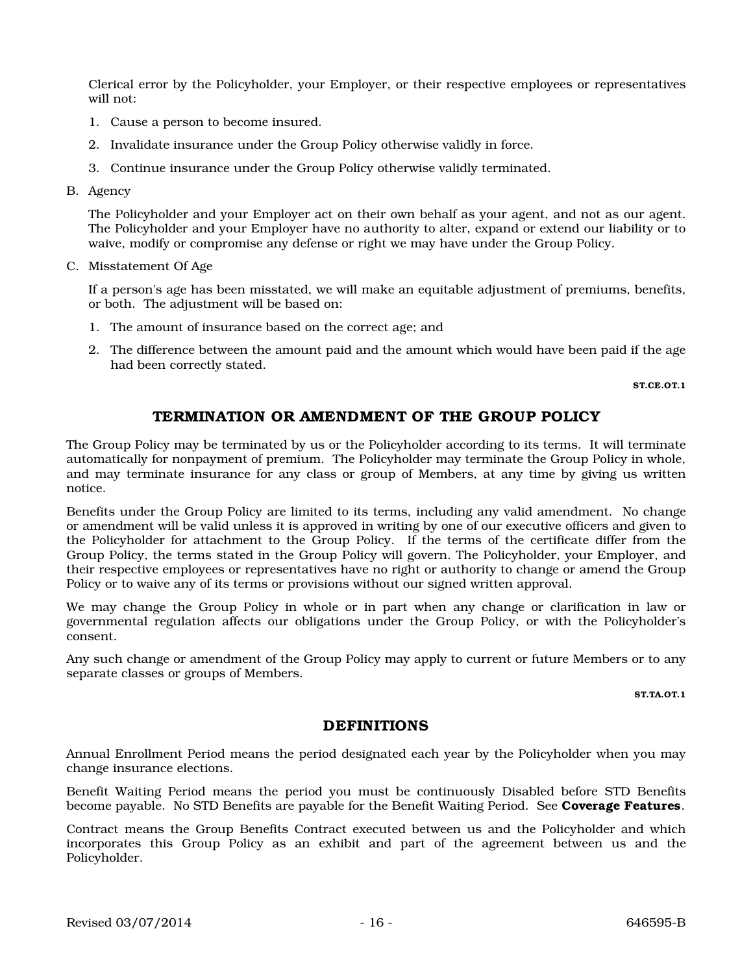Clerical error by the Policyholder, your Employer, or their respective employees or representatives will not:

- 1. Cause a person to become insured.
- 2. Invalidate insurance under the Group Policy otherwise validly in force.
- 3. Continue insurance under the Group Policy otherwise validly terminated.
- B. Agency

The Policyholder and your Employer act on their own behalf as your agent, and not as our agent. The Policyholder and your Employer have no authority to alter, expand or extend our liability or to waive, modify or compromise any defense or right we may have under the Group Policy.

C. Misstatement Of Age

If a person's age has been misstated, we will make an equitable adjustment of premiums, benefits, or both. The adjustment will be based on:

- 1. The amount of insurance based on the correct age; and
- 2. The difference between the amount paid and the amount which would have been paid if the age had been correctly stated.

ST.CE.OT.1

### TERMINATION OR AMENDMENT OF THE GROUP POLICY

The Group Policy may be terminated by us or the Policyholder according to its terms. It will terminate automatically for nonpayment of premium. The Policyholder may terminate the Group Policy in whole, and may terminate insurance for any class or group of Members, at any time by giving us written notice.

Benefits under the Group Policy are limited to its terms, including any valid amendment. No change or amendment will be valid unless it is approved in writing by one of our executive officers and given to the Policyholder for attachment to the Group Policy. If the terms of the certificate differ from the Group Policy, the terms stated in the Group Policy will govern. The Policyholder, your Employer, and their respective employees or representatives have no right or authority to change or amend the Group Policy or to waive any of its terms or provisions without our signed written approval.

We may change the Group Policy in whole or in part when any change or clarification in law or governmental regulation affects our obligations under the Group Policy, or with the Policyholder's consent.

Any such change or amendment of the Group Policy may apply to current or future Members or to any separate classes or groups of Members.

ST.TA.OT.1

#### DEFINITIONS

Annual Enrollment Period means the period designated each year by the Policyholder when you may change insurance elections.

Benefit Waiting Period means the period you must be continuously Disabled before STD Benefits become payable. No STD Benefits are payable for the Benefit Waiting Period. See Coverage Features.

Contract means the Group Benefits Contract executed between us and the Policyholder and which incorporates this Group Policy as an exhibit and part of the agreement between us and the Policyholder.